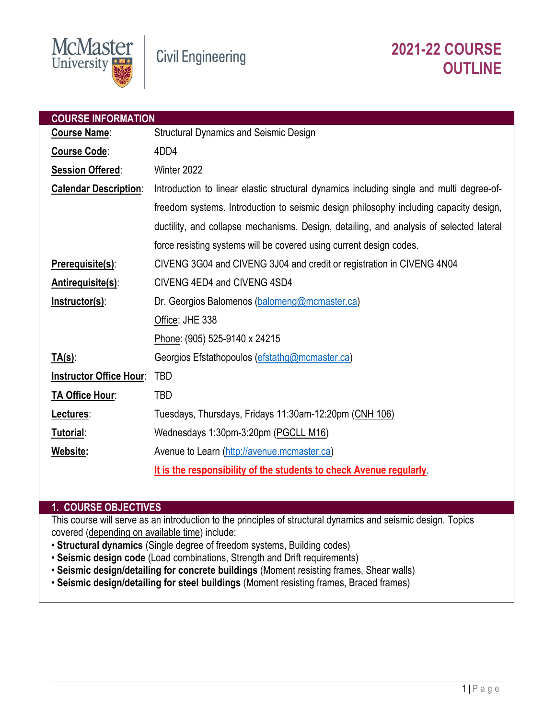

| <b>COURSE INFORMATION</b>      |                                                                                          |  |  |
|--------------------------------|------------------------------------------------------------------------------------------|--|--|
| <b>Course Name:</b>            | <b>Structural Dynamics and Seismic Design</b>                                            |  |  |
| <b>Course Code:</b>            | 4DD4                                                                                     |  |  |
| <b>Session Offered:</b>        | Winter 2022                                                                              |  |  |
| <b>Calendar Description:</b>   | Introduction to linear elastic structural dynamics including single and multi degree-of- |  |  |
|                                | freedom systems. Introduction to seismic design philosophy including capacity design,    |  |  |
|                                | ductility, and collapse mechanisms. Design, detailing, and analysis of selected lateral  |  |  |
|                                | force resisting systems will be covered using current design codes.                      |  |  |
| <b>Prerequisite(s):</b>        | CIVENG 3G04 and CIVENG 3J04 and credit or registration in CIVENG 4N04                    |  |  |
| <b>Antirequisite(s):</b>       | CIVENG 4ED4 and CIVENG 4SD4                                                              |  |  |
| <b>Instructor(s):</b>          | Dr. Georgios Balomenos (balomeng@mcmaster.ca)                                            |  |  |
|                                | Office: JHE 338                                                                          |  |  |
|                                | Phone: (905) 525-9140 x 24215                                                            |  |  |
| <u>TA(s):</u>                  | Georgios Efstathopoulos (efstathg@mcmaster.ca)                                           |  |  |
| <b>Instructor Office Hour:</b> | <b>TBD</b>                                                                               |  |  |
| <b>TA Office Hour:</b>         | TBD                                                                                      |  |  |
| Lectures:                      | Tuesdays, Thursdays, Fridays 11:30am-12:20pm (CNH 106)                                   |  |  |
| Tutorial:                      | Wednesdays 1:30pm-3:20pm (PGCLL M16)                                                     |  |  |
| Website:                       | Avenue to Learn (http://avenue.mcmaster.ca)                                              |  |  |
|                                | It is the responsibility of the students to check Avenue regularly                       |  |  |

## **1. COURSE OBJECTIVES**

This course will serve as an introduction to the principles of structural dynamics and seismic design. Topics covered (depending on available time) include:

- **Structural dynamics** (Single degree of freedom systems, Building codes)
- **Seismic design code** (Load combinations, Strength and Drift requirements)
- **Seismic design/detailing for concrete buildings** (Moment resisting frames, Shear walls)
- **Seismic design/detailing for steel buildings** (Moment resisting frames, Braced frames)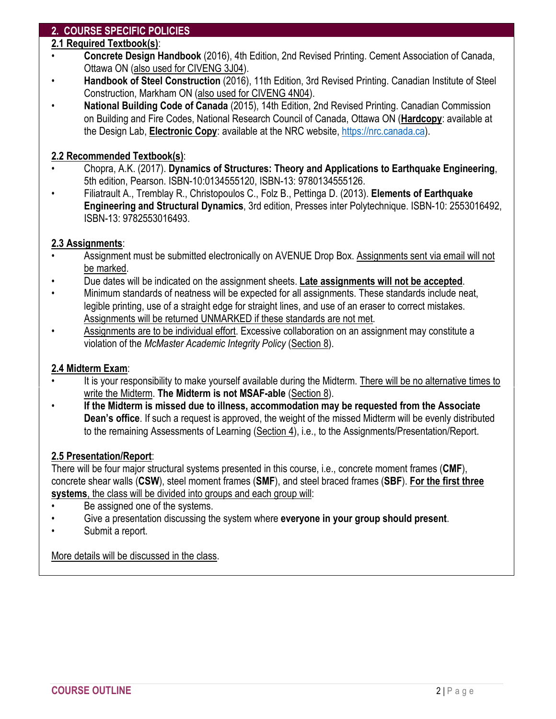# **2. COURSE SPECIFIC POLICIES**

## **2.1 Required Textbook(s)**:

- **Concrete Design Handbook** (2016), 4th Edition, 2nd Revised Printing. Cement Association of Canada, Ottawa ON (also used for CIVENG 3J04).
- **Handbook of Steel Construction** (2016), 11th Edition, 3rd Revised Printing. Canadian Institute of Steel Construction, Markham ON (also used for CIVENG 4N04).
- **National Building Code of Canada** (2015), 14th Edition, 2nd Revised Printing. Canadian Commission on Building and Fire Codes, National Research Council of Canada, Ottawa ON (**Hardcopy**: available at the Design Lab, **Electronic Copy**: available at the NRC website[, https://nrc.canada.ca\)](https://nrc.canada.ca/).

# **2.2 Recommended Textbook(s)**:

- Chopra, A.K. (2017). **Dynamics of Structures: Theory and Applications to Earthquake Engineering**, 5th edition, Pearson. ISBN-10:0134555120, ISBN-13: 9780134555126.
- Filiatrault A., Tremblay R., Christopoulos C., Folz B., Pettinga D. (2013). **Elements of Earthquake Engineering and Structural Dynamics**, 3rd edition, Presses inter Polytechnique. ISBN-10: 2553016492, ISBN-13: 9782553016493.

# **2.3 Assignments**:

- Assignment must be submitted electronically on AVENUE Drop Box. Assignments sent via email will not be marked.
- Due dates will be indicated on the assignment sheets. **Late assignments will not be accepted**.
- Minimum standards of neatness will be expected for all assignments. These standards include neat, legible printing, use of a straight edge for straight lines, and use of an eraser to correct mistakes. Assignments will be returned UNMARKED if these standards are not met.
- Assignments are to be individual effort. Excessive collaboration on an assignment may constitute a violation of the *McMaster Academic Integrity Policy* (Section 8).

## **2.4 Midterm Exam**:

- It is your responsibility to make yourself available during the Midterm. There will be no alternative times to write the Midterm. **The Midterm is not MSAF-able** (Section 8).
- **If the Midterm is missed due to illness, accommodation may be requested from the Associate Dean's office**. If such a request is approved, the weight of the missed Midterm will be evenly distributed to the remaining Assessments of Learning (Section 4), i.e., to the Assignments/Presentation/Report.

# **2.5 Presentation/Report**:

There will be four major structural systems presented in this course, i.e., concrete moment frames (**CMF**), concrete shear walls (**CSW**), steel moment frames (**SMF**), and steel braced frames (**SBF**). **For the first three systems**, the class will be divided into groups and each group will:

- Be assigned one of the systems.
- Give a presentation discussing the system where **everyone in your group should present**.
- Submit a report.

More details will be discussed in the class.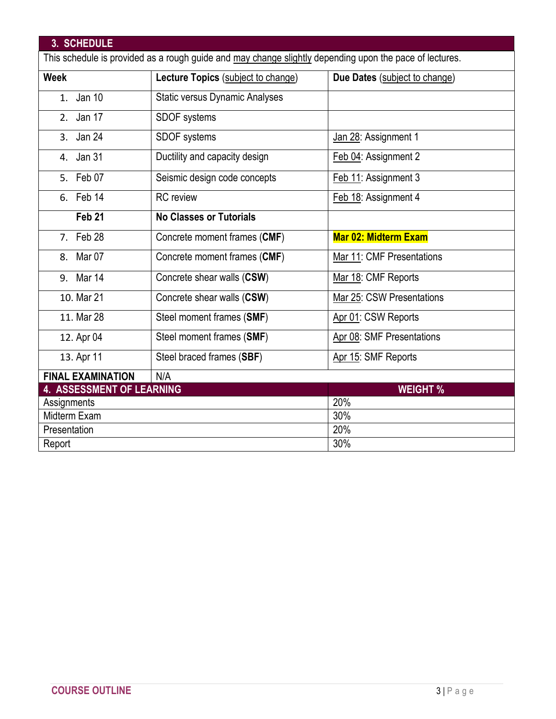| 3. SCHEDULE                                                                                             |                                       |                               |  |  |
|---------------------------------------------------------------------------------------------------------|---------------------------------------|-------------------------------|--|--|
| This schedule is provided as a rough guide and may change slightly depending upon the pace of lectures. |                                       |                               |  |  |
| <b>Week</b>                                                                                             | Lecture Topics (subject to change)    | Due Dates (subject to change) |  |  |
| 1. Jan 10                                                                                               | <b>Static versus Dynamic Analyses</b> |                               |  |  |
| 2. Jan 17                                                                                               | SDOF systems                          |                               |  |  |
| 3. Jan 24                                                                                               | <b>SDOF</b> systems                   | Jan 28: Assignment 1          |  |  |
| 4. Jan 31                                                                                               | Ductility and capacity design         | Feb 04: Assignment 2          |  |  |
| 5. Feb 07                                                                                               | Seismic design code concepts          | Feb 11: Assignment 3          |  |  |
| 6. Feb 14                                                                                               | <b>RC</b> review                      | Feb 18: Assignment 4          |  |  |
| Feb <sub>21</sub>                                                                                       | <b>No Classes or Tutorials</b>        |                               |  |  |
| 7. Feb 28                                                                                               | Concrete moment frames (CMF)          | <b>Mar 02: Midterm Exam</b>   |  |  |
| 8. Mar 07                                                                                               | Concrete moment frames (CMF)          | Mar 11: CMF Presentations     |  |  |
| 9. Mar 14                                                                                               | Concrete shear walls (CSW)            | Mar 18: CMF Reports           |  |  |
| 10. Mar 21                                                                                              | Concrete shear walls (CSW)            | Mar 25: CSW Presentations     |  |  |
| 11. Mar 28                                                                                              | Steel moment frames (SMF)             | Apr 01: CSW Reports           |  |  |
| 12. Apr 04                                                                                              | Steel moment frames (SMF)             | Apr 08: SMF Presentations     |  |  |
| 13. Apr 11                                                                                              | Steel braced frames (SBF)             | Apr 15: SMF Reports           |  |  |
| <b>FINAL EXAMINATION</b>                                                                                | N/A                                   |                               |  |  |
| <b>4. ASSESSMENT OF LEARNING</b>                                                                        |                                       | <b>WEIGHT %</b>               |  |  |
| Assignments                                                                                             |                                       | 20%                           |  |  |
| Midterm Exam                                                                                            |                                       | 30%                           |  |  |
| Presentation                                                                                            |                                       | 20%                           |  |  |
| Report                                                                                                  |                                       | 30%                           |  |  |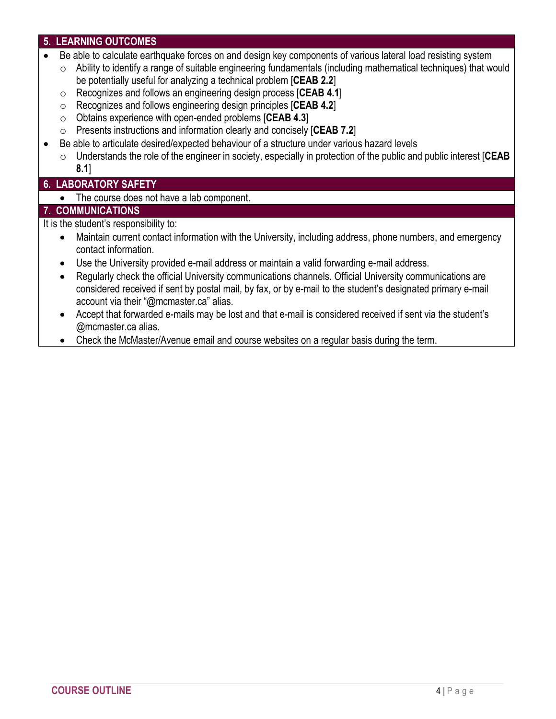# **5. LEARNING OUTCOMES**

- Be able to calculate earthquake forces on and design key components of various lateral load resisting system
- $\circ$  Ability to identify a range of suitable engineering fundamentals (including mathematical techniques) that would be potentially useful for analyzing a technical problem [**CEAB 2.2**]
- o Recognizes and follows an engineering design process [**CEAB 4.1**]
- o Recognizes and follows engineering design principles [**CEAB 4.2**]
- o Obtains experience with open-ended problems [**CEAB 4.3**]
- o Presents instructions and information clearly and concisely [**CEAB 7.2**]
- Be able to articulate desired/expected behaviour of a structure under various hazard levels
	- o Understands the role of the engineer in society, especially in protection of the public and public interest [**CEAB 8.1**]

# **6. LABORATORY SAFETY**

• The course does not have a lab component.

## **7. COMMUNICATIONS**

It is the student's responsibility to:

- Maintain current contact information with the University, including address, phone numbers, and emergency contact information.
- Use the University provided e-mail address or maintain a valid forwarding e-mail address.
- Regularly check the official University communications channels. Official University communications are considered received if sent by postal mail, by fax, or by e-mail to the student's designated primary e-mail account via their "@mcmaster.ca" alias.
- Accept that forwarded e-mails may be lost and that e-mail is considered received if sent via the student's @mcmaster.ca alias.
- Check the McMaster/Avenue email and course websites on a regular basis during the term.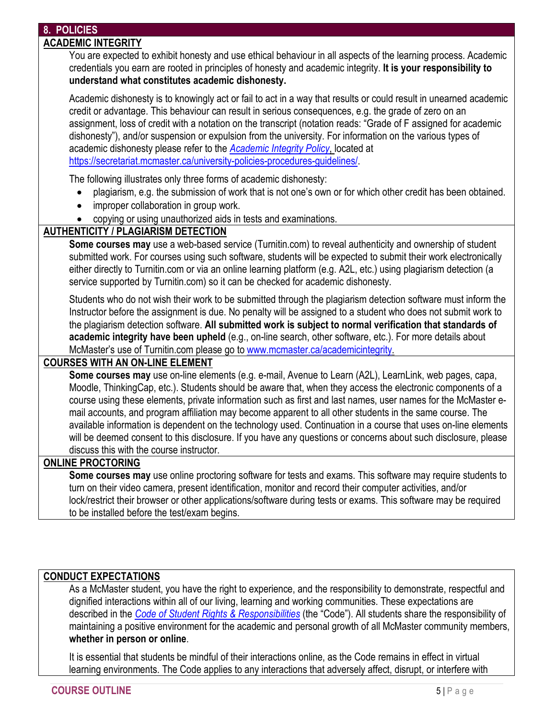# **8. POLICIES**

#### **ACADEMIC INTEGRITY**

You are expected to exhibit honesty and use ethical behaviour in all aspects of the learning process. Academic credentials you earn are rooted in principles of honesty and academic integrity. **It is your responsibility to understand what constitutes academic dishonesty.**

Academic dishonesty is to knowingly act or fail to act in a way that results or could result in unearned academic credit or advantage. This behaviour can result in serious consequences, e.g. the grade of zero on an assignment, loss of credit with a notation on the transcript (notation reads: "Grade of F assigned for academic dishonesty"), and/or suspension or expulsion from the university. For information on the various types of academic dishonesty please refer to the *[Academic Integrity Policy](https://secretariat.mcmaster.ca/app/uploads/Academic-Integrity-Policy-1-1.pdf)*, located at [https://secretariat.mcmaster.ca/university-policies-procedures-guidelines/.](https://secretariat.mcmaster.ca/university-policies-procedures-guidelines/)

The following illustrates only three forms of academic dishonesty:

- plagiarism, e.g. the submission of work that is not one's own or for which other credit has been obtained.
- improper collaboration in group work.
- copying or using unauthorized aids in tests and examinations.

# **AUTHENTICITY / PLAGIARISM DETECTION**

**Some courses may** use a web-based service (Turnitin.com) to reveal authenticity and ownership of student submitted work. For courses using such software, students will be expected to submit their work electronically either directly to Turnitin.com or via an online learning platform (e.g. A2L, etc.) using plagiarism detection (a service supported by Turnitin.com) so it can be checked for academic dishonesty.

Students who do not wish their work to be submitted through the plagiarism detection software must inform the Instructor before the assignment is due. No penalty will be assigned to a student who does not submit work to the plagiarism detection software. **All submitted work is subject to normal verification that standards of academic integrity have been upheld** (e.g., on-line search, other software, etc.). For more details about McMaster's use of Turnitin.com please go to [www.mcmaster.ca/academicintegrity.](http://www.mcmaster.ca/academicintegrity)

# **COURSES WITH AN ON-LINE ELEMENT**

**Some courses may** use on-line elements (e.g. e-mail, Avenue to Learn (A2L), LearnLink, web pages, capa, Moodle, ThinkingCap, etc.). Students should be aware that, when they access the electronic components of a course using these elements, private information such as first and last names, user names for the McMaster email accounts, and program affiliation may become apparent to all other students in the same course. The available information is dependent on the technology used. Continuation in a course that uses on-line elements will be deemed consent to this disclosure. If you have any questions or concerns about such disclosure, please discuss this with the course instructor.

## **ONLINE PROCTORING**

**Some courses may** use online proctoring software for tests and exams. This software may require students to turn on their video camera, present identification, monitor and record their computer activities, and/or lock/restrict their browser or other applications/software during tests or exams. This software may be required to be installed before the test/exam begins.

#### **CONDUCT EXPECTATIONS**

As a McMaster student, you have the right to experience, and the responsibility to demonstrate, respectful and dignified interactions within all of our living, learning and working communities. These expectations are described in the *[Code of Student Rights & Responsibilities](https://secretariat.mcmaster.ca/app/uploads/Code-of-Student-Rights-and-Responsibilities.pdf)* (the "Code"). All students share the responsibility of maintaining a positive environment for the academic and personal growth of all McMaster community members, **whether in person or online**.

It is essential that students be mindful of their interactions online, as the Code remains in effect in virtual learning environments. The Code applies to any interactions that adversely affect, disrupt, or interfere with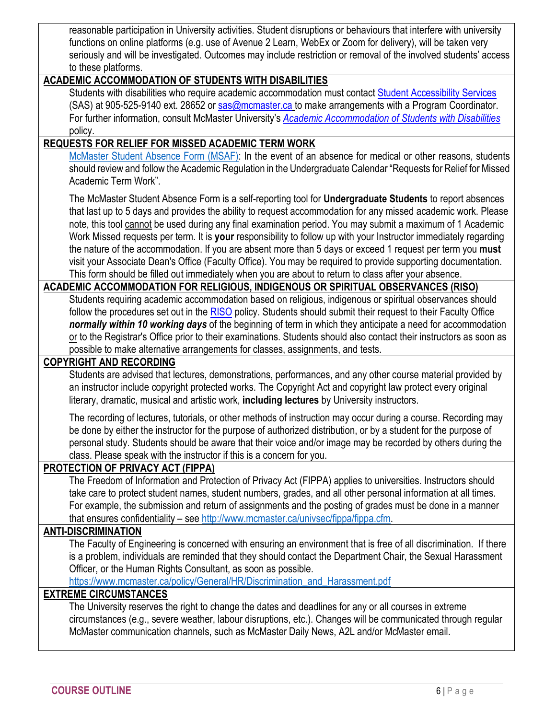reasonable participation in University activities. Student disruptions or behaviours that interfere with university functions on online platforms (e.g. use of Avenue 2 Learn, WebEx or Zoom for delivery), will be taken very seriously and will be investigated. Outcomes may include restriction or removal of the involved students' access to these platforms.

## **ACADEMIC ACCOMMODATION OF STUDENTS WITH DISABILITIES**

Students with disabilities who require academic accommodation must contact [Student Accessibility Services](https://sas.mcmaster.ca/) (SAS) at 905-525-9140 ext. 28652 or [sas@mcmaster.ca](mailto:sas@mcmaster.ca) to make arrangements with a Program Coordinator. For further information, consult McMaster University's *[Academic Accommodation of Students with Disabilities](https://secretariat.mcmaster.ca/app/uploads/Academic-Accommodations-Policy.pdf)* policy.

#### **REQUESTS FOR RELIEF FOR MISSED ACADEMIC TERM WORK**

[McMaster Student Absence Form \(MSAF\):](https://secretariat.mcmaster.ca/university-policies-procedures-guidelines/msaf-mcmaster-student-absence-form/) In the event of an absence for medical or other reasons, students should review and follow the Academic Regulation in the Undergraduate Calendar "Requests for Relief for Missed Academic Term Work".

The McMaster Student Absence Form is a self-reporting tool for **Undergraduate Students** to report absences that last up to 5 days and provides the ability to request accommodation for any missed academic work. Please note, this tool cannot be used during any final examination period. You may submit a maximum of 1 Academic Work Missed requests per term. It is **your** responsibility to follow up with your Instructor immediately regarding the nature of the accommodation. If you are absent more than 5 days or exceed 1 request per term you **must** visit your Associate Dean's Office (Faculty Office). You may be required to provide supporting documentation. This form should be filled out immediately when you are about to return to class after your absence.

## **ACADEMIC ACCOMMODATION FOR RELIGIOUS, INDIGENOUS OR SPIRITUAL OBSERVANCES (RISO)**

Students requiring academic accommodation based on religious, indigenous or spiritual observances should follow the procedures set out in the [RISO](https://secretariat.mcmaster.ca/app/uploads/2019/02/Academic-Accommodation-for-Religious-Indigenous-and-Spiritual-Observances-Policy-on.pdf) policy. Students should submit their request to their Faculty Office *normally within 10 working days* of the beginning of term in which they anticipate a need for accommodation or to the Registrar's Office prior to their examinations. Students should also contact their instructors as soon as possible to make alternative arrangements for classes, assignments, and tests.

#### **COPYRIGHT AND RECORDING**

Students are advised that lectures, demonstrations, performances, and any other course material provided by an instructor include copyright protected works. The Copyright Act and copyright law protect every original literary, dramatic, musical and artistic work, **including lectures** by University instructors.

The recording of lectures, tutorials, or other methods of instruction may occur during a course. Recording may be done by either the instructor for the purpose of authorized distribution, or by a student for the purpose of personal study. Students should be aware that their voice and/or image may be recorded by others during the class. Please speak with the instructor if this is a concern for you.

#### **PROTECTION OF PRIVACY ACT (FIPPA)**

The Freedom of Information and Protection of Privacy Act (FIPPA) applies to universities. Instructors should take care to protect student names, student numbers, grades, and all other personal information at all times. For example, the submission and return of assignments and the posting of grades must be done in a manner that ensures confidentiality – see [http://www.mcmaster.ca/univsec/fippa/fippa.cfm.](http://www.mcmaster.ca/univsec/fippa/fippa.cfm)

# **ANTI-DISCRIMINATION**

The Faculty of Engineering is concerned with ensuring an environment that is free of all discrimination. If there is a problem, individuals are reminded that they should contact the Department Chair, the Sexual Harassment Officer, or the Human Rights Consultant, as soon as possible.

[https://www.mcmaster.ca/policy/General/HR/Discrimination\\_and\\_Harassment.pdf](https://www.mcmaster.ca/policy/General/HR/Discrimination_and_Harassment.pdf)

## **EXTREME CIRCUMSTANCES**

The University reserves the right to change the dates and deadlines for any or all courses in extreme circumstances (e.g., severe weather, labour disruptions, etc.). Changes will be communicated through regular McMaster communication channels, such as McMaster Daily News, A2L and/or McMaster email.